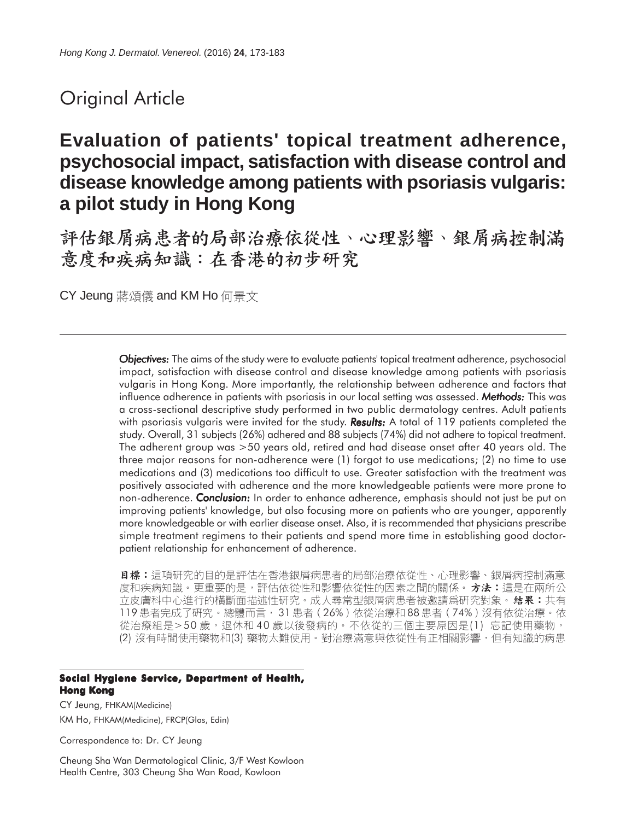# Original Article

# **Evaluation of patients' topical treatment adherence, psychosocial impact, satisfaction with disease control and disease knowledge among patients with psoriasis vulgaris: a pilot study in Hong Kong**

評估銀屑病患者的局部治療依從性、心理影響、銀屑病控制滿 意度和疾病知識:在香港的初步研究

CY Jeung 蔣頌儀 and KM Ho 何景文

*Objectives: Objectives:* The aims of the study were to evaluate patients' topical treatment adherence, psychosocial impact, satisfaction with disease control and disease knowledge among patients with psoriasis vulgaris in Hong Kong. More importantly, the relationship between adherence and factors that influence adherence in patients with psoriasis in our local setting was assessed. *Methods: Methods:* This was a cross-sectional descriptive study performed in two public dermatology centres. Adult patients with psoriasis vulgaris were invited for the study. **Results:** A total of 119 patients completed the study. Overall, 31 subjects (26%) adhered and 88 subjects (74%) did not adhere to topical treatment. The adherent group was >50 years old, retired and had disease onset after 40 years old. The three major reasons for non-adherence were (1) forgot to use medications; (2) no time to use medications and (3) medications too difficult to use. Greater satisfaction with the treatment was positively associated with adherence and the more knowledgeable patients were more prone to non-adherence. *Conclusion:* In order to enhance adherence, emphasis should not just be put on improving patients' knowledge, but also focusing more on patients who are younger, apparently more knowledgeable or with earlier disease onset. Also, it is recommended that physicians prescribe simple treatment regimens to their patients and spend more time in establishing good doctorpatient relationship for enhancement of adherence.

**目標:**這項研究的目的是評估在香港銀屑病患者的局部治療依從性、心理影響、銀屑病控制滿意 度和疾病知識。更重要的是,評估依從性和影響依從性的因素之間的關係。 **方法:**這是在兩所公 立皮膚科中心進行的橫斷面描述性研究。成人尋常型銀屑病患者被邀請爲研究對象。 結果: 共有 119 患者完成了研究。總體而言, 31 患者 (26%) 依從治療和88 患者 (74%) 沒有依從治療。依 從治療組是>50歲,退休和40歲以後發病的。不依從的三個主要原因是(1)忘記使用藥物, (2) 沒有時間使用藥物和(3) 藥物太難使用。對治療滿意與依從性有正相關影響,但有知識的病患

#### **Social Hygiene Service, Department of Health, Hong Kong**

CY Jeung, FHKAM(Medicine) KM Ho, FHKAM(Medicine), FRCP(Glas, Edin)

Correspondence to: Dr. CY Jeung

Cheung Sha Wan Dermatological Clinic, 3/F West Kowloon Health Centre, 303 Cheung Sha Wan Road, Kowloon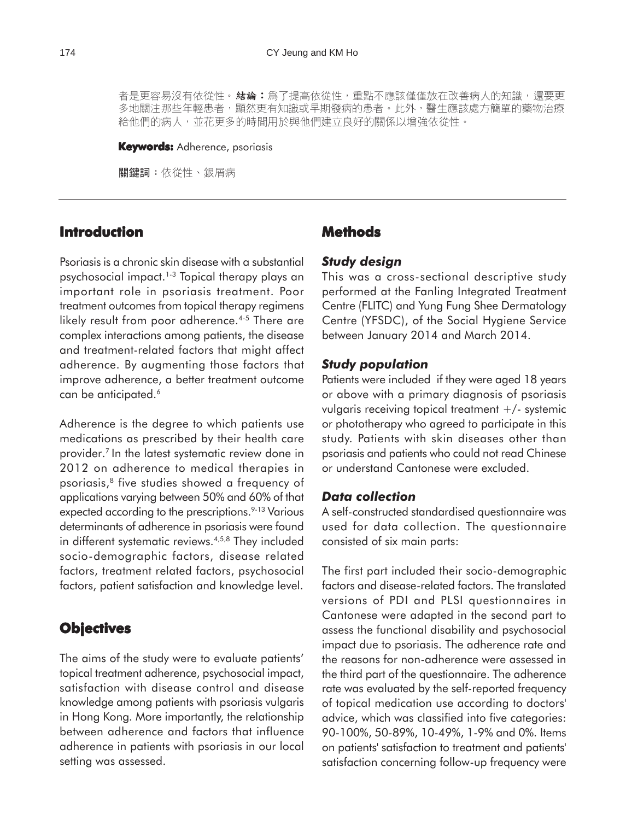者是更容易沒有依從性。**結論:**爲了提高依從性,重點不應該僅僅放在改善病人的知識,還要更 多地關注那些年輕患者,顯然更有知識或早期發病的患者。此外,醫生應該處方簡單的藥物治療 給他們的病人,並花更多的時間用於與他們建立良好的關係以增強依從性。

#### **Keywords:** Adherence, psoriasis

關鍵詞:依從性、銀屑病

# **Introduction**

Psoriasis is a chronic skin disease with a substantial psychosocial impact.1-3 Topical therapy plays an important role in psoriasis treatment. Poor treatment outcomes from topical therapy regimens likely result from poor adherence.<sup>4-5</sup> There are complex interactions among patients, the disease and treatment-related factors that might affect adherence. By augmenting those factors that improve adherence, a better treatment outcome can be anticipated.<sup>6</sup>

Adherence is the degree to which patients use medications as prescribed by their health care provider.7 In the latest systematic review done in 2012 on adherence to medical therapies in psoriasis,8 five studies showed a frequency of applications varying between 50% and 60% of that expected according to the prescriptions.<sup>9-13</sup> Various determinants of adherence in psoriasis were found in different systematic reviews.<sup>4,5,8</sup> They included socio-demographic factors, disease related factors, treatment related factors, psychosocial factors, patient satisfaction and knowledge level.

# **Objectives**

The aims of the study were to evaluate patients' topical treatment adherence, psychosocial impact, satisfaction with disease control and disease knowledge among patients with psoriasis vulgaris in Hong Kong. More importantly, the relationship between adherence and factors that influence adherence in patients with psoriasis in our local setting was assessed.

# **Methods**

#### *Study design*

This was a cross-sectional descriptive study performed at the Fanling Integrated Treatment Centre (FLITC) and Yung Fung Shee Dermatology Centre (YFSDC), of the Social Hygiene Service between January 2014 and March 2014.

#### *Study population*

Patients were included if they were aged 18 years or above with a primary diagnosis of psoriasis vulgaris receiving topical treatment +/- systemic or phototherapy who agreed to participate in this study. Patients with skin diseases other than psoriasis and patients who could not read Chinese or understand Cantonese were excluded.

#### *Data collection*

A self-constructed standardised questionnaire was used for data collection. The questionnaire consisted of six main parts:

The first part included their socio-demographic factors and disease-related factors. The translated versions of PDI and PLSI questionnaires in Cantonese were adapted in the second part to assess the functional disability and psychosocial impact due to psoriasis. The adherence rate and the reasons for non-adherence were assessed in the third part of the questionnaire. The adherence rate was evaluated by the self-reported frequency of topical medication use according to doctors' advice, which was classified into five categories: 90-100%, 50-89%, 10-49%, 1-9% and 0%. Items on patients' satisfaction to treatment and patients' satisfaction concerning follow-up frequency were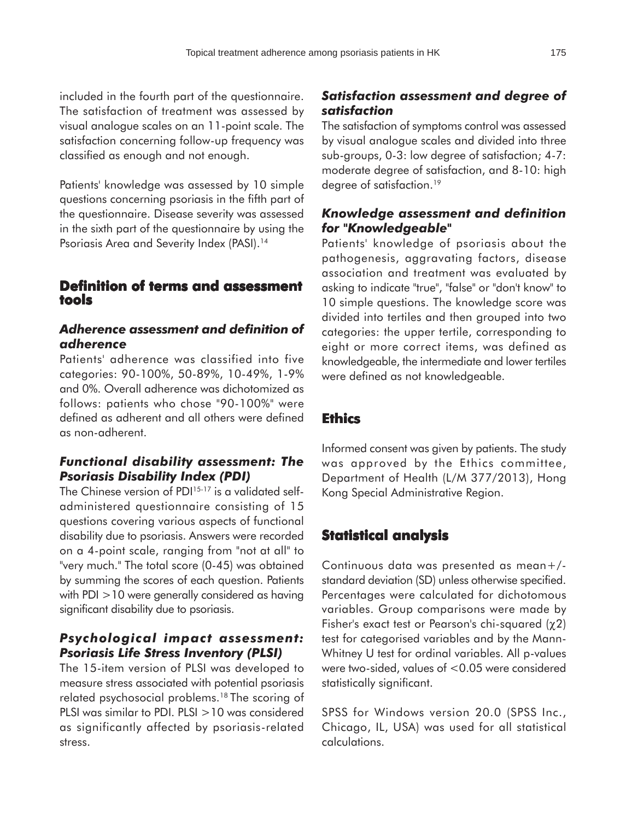included in the fourth part of the questionnaire. The satisfaction of treatment was assessed by visual analogue scales on an 11-point scale. The satisfaction concerning follow-up frequency was classified as enough and not enough.

Patients' knowledge was assessed by 10 simple questions concerning psoriasis in the fifth part of the questionnaire. Disease severity was assessed in the sixth part of the questionnaire by using the Psoriasis Area and Severity Index (PASI).<sup>14</sup>

## **Definition of terms and assessment Definition and assessment tools**

# *Adherence assessment and definition of adherence*

Patients' adherence was classified into five categories: 90-100%, 50-89%, 10-49%, 1-9% and 0%. Overall adherence was dichotomized as follows: patients who chose "90-100%" were defined as adherent and all others were defined as non-adherent.

# *Functional disability assessment: The Psoriasis Disability Index (PDI)*

The Chinese version of PDI<sup>15-17</sup> is a validated selfadministered questionnaire consisting of 15 questions covering various aspects of functional disability due to psoriasis. Answers were recorded on a 4-point scale, ranging from "not at all" to "very much." The total score (0-45) was obtained by summing the scores of each question. Patients with PDI >10 were generally considered as having significant disability due to psoriasis.

# *Psychological impact assessment: Psoriasis Life Stress Inventory (PLSI)*

The 15-item version of PLSI was developed to measure stress associated with potential psoriasis related psychosocial problems.18 The scoring of PLSI was similar to PDI. PLSI >10 was considered as significantly affected by psoriasis-related stress.

# *Satisfaction assessment and degree of satisfaction*

The satisfaction of symptoms control was assessed by visual analogue scales and divided into three sub-groups, 0-3: low degree of satisfaction; 4-7: moderate degree of satisfaction, and 8-10: high degree of satisfaction.19

# *Knowledge assessment and definition for "Knowledgeable"*

Patients' knowledge of psoriasis about the pathogenesis, aggravating factors, disease association and treatment was evaluated by asking to indicate "true", "false" or "don't know" to 10 simple questions. The knowledge score was divided into tertiles and then grouped into two categories: the upper tertile, corresponding to eight or more correct items, was defined as knowledgeable, the intermediate and lower tertiles were defined as not knowledgeable.

# **Ethics**

Informed consent was given by patients. The study was approved by the Ethics committee, Department of Health (L/M 377/2013), Hong Kong Special Administrative Region.

# **Statistical analysis**

Continuous data was presented as mean+/ standard deviation (SD) unless otherwise specified. Percentages were calculated for dichotomous variables. Group comparisons were made by Fisher's exact test or Pearson's chi-squared (χ2) test for categorised variables and by the Mann-Whitney U test for ordinal variables. All p-values were two-sided, values of <0.05 were considered statistically significant.

SPSS for Windows version 20.0 (SPSS Inc., Chicago, IL, USA) was used for all statistical calculations.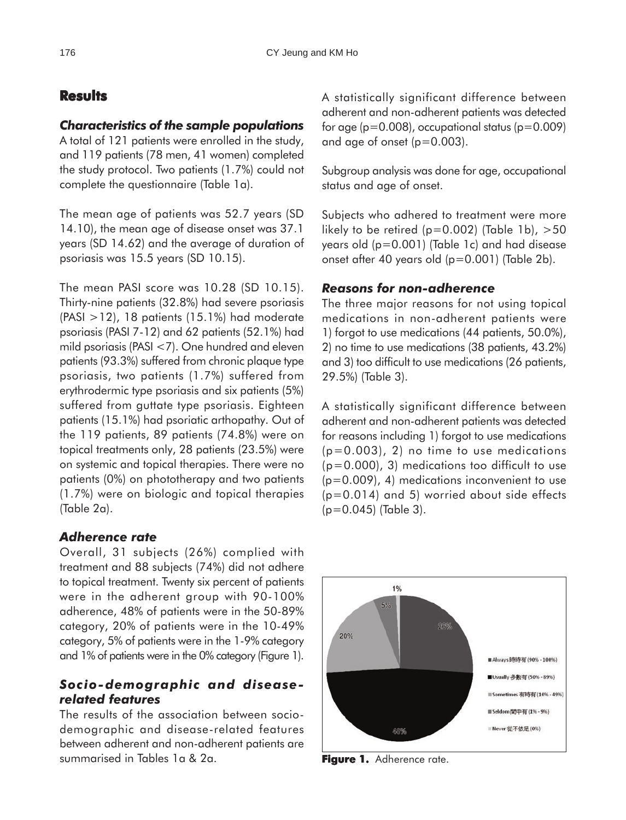# **Results**

### *Characteristics of the sample populations*

A total of 121 patients were enrolled in the study, and 119 patients (78 men, 41 women) completed the study protocol. Two patients (1.7%) could not complete the questionnaire (Table 1a).

The mean age of patients was 52.7 years (SD 14.10), the mean age of disease onset was 37.1 years (SD 14.62) and the average of duration of psoriasis was 15.5 years (SD 10.15).

The mean PASI score was 10.28 (SD 10.15). Thirty-nine patients (32.8%) had severe psoriasis (PASI >12), 18 patients (15.1%) had moderate psoriasis (PASI 7-12) and 62 patients (52.1%) had mild psoriasis (PASI <7). One hundred and eleven patients (93.3%) suffered from chronic plaque type psoriasis, two patients (1.7%) suffered from erythrodermic type psoriasis and six patients (5%) suffered from guttate type psoriasis. Eighteen patients (15.1%) had psoriatic arthopathy. Out of the 119 patients, 89 patients (74.8%) were on topical treatments only, 28 patients (23.5%) were on systemic and topical therapies. There were no patients (0%) on phototherapy and two patients (1.7%) were on biologic and topical therapies (Table 2a).

# *Adherence rate*

Overall, 31 subjects (26%) complied with treatment and 88 subjects (74%) did not adhere to topical treatment. Twenty six percent of patients were in the adherent group with 90-100% adherence, 48% of patients were in the 50-89% category, 20% of patients were in the 10-49% category, 5% of patients were in the 1-9% category and 1% of patients were in the 0% category (Figure 1).

# *Socio-demographic and diseaserelated features*

The results of the association between sociodemographic and disease-related features between adherent and non-adherent patients are summarised in Tables 1a & 2a.

A statistically significant difference between adherent and non-adherent patients was detected for age  $(p=0.008)$ , occupational status  $(p=0.009)$ and age of onset (p=0.003).

Subgroup analysis was done for age, occupational status and age of onset.

Subjects who adhered to treatment were more likely to be retired ( $p=0.002$ ) (Table 1b),  $>50$ years old (p=0.001) (Table 1c) and had disease onset after 40 years old (p=0.001) (Table 2b).

# *Reasons for non-adherence*

The three major reasons for not using topical medications in non-adherent patients were 1) forgot to use medications (44 patients, 50.0%), 2) no time to use medications (38 patients, 43.2%) and 3) too difficult to use medications (26 patients, 29.5%) (Table 3).

A statistically significant difference between adherent and non-adherent patients was detected for reasons including 1) forgot to use medications  $(p=0.003)$ , 2) no time to use medications  $(p=0.000)$ , 3) medications too difficult to use (p=0.009), 4) medications inconvenient to use (p=0.014) and 5) worried about side effects  $(p=0.045)$  (Table 3).



**Figure 1.** Adherence rate.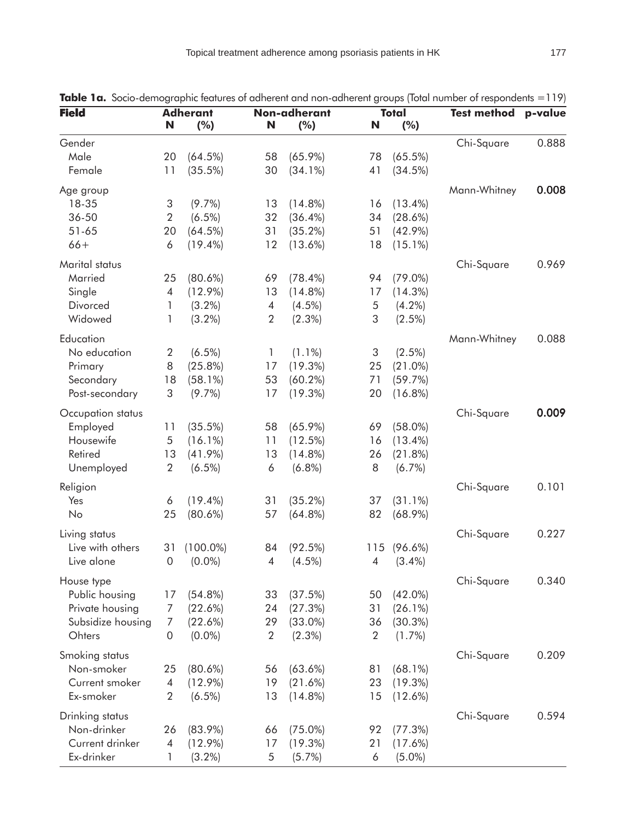| <b>Field</b>      | <b>Adherant</b>           |                         | Non-adherant   |                         | <b>Total</b>   |                      | <b>Test method</b> | p-value |
|-------------------|---------------------------|-------------------------|----------------|-------------------------|----------------|----------------------|--------------------|---------|
|                   | N                         | (%)                     | N              | (%)                     | N              | (%)                  |                    |         |
| Gender            |                           |                         |                |                         |                |                      | Chi-Square         | 0.888   |
| Male              | 20                        | (64.5%)                 | 58             | $(65.9\%)$              | 78             | $(65.5\%)$           |                    |         |
| Female            | 11                        | (35.5%)                 | 30             | $(34.1\%)$              | 41             | (34.5%)              |                    |         |
| Age group         |                           |                         |                |                         |                |                      | Mann-Whitney       | 0.008   |
| 18-35             | $\ensuremath{\mathsf{3}}$ | $(9.7\%)$               | 13             | $(14.8\%)$              | 16             | $(13.4\%)$           |                    |         |
| 36-50             | $\sqrt{2}$                | $(6.5\%)$               | 32             | $(36.4\%)$              | 34             | (28.6%)              |                    |         |
| $51 - 65$         | 20                        | $(64.5\%)$              | 31             | $(35.2\%)$              | 51             | $(42.9\%)$           |                    |         |
| $66+$             | 6                         | $(19.4\%)$              | 12             | $(13.6\%)$              | 18             | $(15.1\%)$           |                    |         |
| Marital status    |                           |                         |                |                         |                |                      | Chi-Square         | 0.969   |
| Married           | 25                        | $(80.6\%)$              | 69             | $(78.4\%)$              | 94             | $(79.0\%)$           |                    |         |
| Single            | 4                         | $(12.9\%)$              | 13             | $(14.8\%)$              | 17             | $(14.3\%)$           |                    |         |
| Divorced          | 1                         | $(3.2\%)$               | $\overline{4}$ | $(4.5\%)$               | 5              | $(4.2\%)$            |                    |         |
| Widowed           | 1                         | $(3.2\%)$               | $\overline{2}$ | $(2.3\%)$               | 3              | $(2.5\%)$            |                    |         |
| Education         |                           |                         |                |                         |                |                      | Mann-Whitney       | 0.088   |
| No education      | $\overline{2}$            | $(6.5\%)$               | 1              | $(1.1\%)$               | 3              | $(2.5\%)$            |                    |         |
| Primary           | 8                         | (25.8%)                 | 17             | (19.3%)                 | 25             | $(21.0\%)$           |                    |         |
| Secondary         | 18                        | $(58.1\%)$              | 53             | $(60.2\%)$              | 71             | (59.7%)              |                    |         |
| Post-secondary    | 3                         | $(9.7\%)$               | 17             | $(19.3\%)$              | 20             | $(16.8\%)$           |                    |         |
| Occupation status |                           |                         |                |                         |                |                      | Chi-Square         | 0.009   |
| Employed          | 11                        | (35.5%)                 | 58             | $(65.9\%)$              | 69             | $(58.0\%)$           |                    |         |
| Housewife         | 5                         | $(16.1\%)$              | 11             | (12.5%)                 | 16             | $(13.4\%)$           |                    |         |
| Retired           | 13                        |                         |                |                         |                |                      |                    |         |
| Unemployed        | $\overline{2}$            | $(41.9\%)$<br>$(6.5\%)$ | 13<br>6        | $(14.8\%)$<br>$(6.8\%)$ | 26<br>8        | (21.8%)<br>$(6.7\%)$ |                    |         |
|                   |                           |                         |                |                         |                |                      |                    |         |
| Religion          |                           |                         |                |                         |                |                      | Chi-Square         | 0.101   |
| Yes               | 6                         | $(19.4\%)$              | 31             | (35.2%)                 | 37             | $(31.1\%)$           |                    |         |
| No                | 25                        | $(80.6\%)$              | 57             | $(64.8\%)$              | 82             | $(68.9\%)$           |                    |         |
| Living status     |                           |                         |                |                         |                |                      | Chi-Square         | 0.227   |
| Live with others  | 31                        | $(100.0\%)$             | 84             | (92.5%)                 | 115            | $(96.6\%)$           |                    |         |
| Live alone        | $\mathbf 0$               | $(0.0\%)$               | $\overline{4}$ | $(4.5\%)$               | 4              | $(3.4\%)$            |                    |         |
| House type        |                           |                         |                |                         |                |                      | Chi-Square         | 0.340   |
| Public housing    | 17                        | $(54.8\%)$              | 33             | (37.5%)                 | 50             | $(42.0\%)$           |                    |         |
| Private housing   | 7                         | (22.6%)                 | 24             | (27.3%)                 | 31             | (26.1%)              |                    |         |
| Subsidize housing | 7                         | (22.6%)                 | 29             | $(33.0\%)$              | 36             | (30.3%)              |                    |         |
| Ohters            | $\boldsymbol{0}$          | $(0.0\%)$               | $\overline{2}$ | $(2.3\%)$               | $\overline{2}$ | $(1.7\%)$            |                    |         |
| Smoking status    |                           |                         |                |                         |                |                      | Chi-Square         | 0.209   |
| Non-smoker        | 25                        | $(80.6\%)$              | 56             | $(63.6\%)$              | 81             | $(68.1\%)$           |                    |         |
| Current smoker    | $\overline{4}$            | $(12.9\%)$              | 19             | $(21.6\%)$              | 23             | $(19.3\%)$           |                    |         |
| Ex-smoker         | $\overline{2}$            | $(6.5\%)$               | 13             | $(14.8\%)$              | 15             | $(12.6\%)$           |                    |         |
| Drinking status   |                           |                         |                |                         |                |                      | Chi-Square         | 0.594   |
| Non-drinker       | 26                        | $(83.9\%)$              | 66             | $(75.0\%)$              | 92             | (77.3%)              |                    |         |
| Current drinker   | 4                         | $(12.9\%)$              | 17             | $(19.3\%)$              | 21             | $(17.6\%)$           |                    |         |
| Ex-drinker        | 1                         | $(3.2\%)$               | 5              | $(5.7\%)$               | 6              | $(5.0\%)$            |                    |         |

**Table 1a.** Socio-demographic features of adherent and non-adherent groups (Total number of respondents = 119)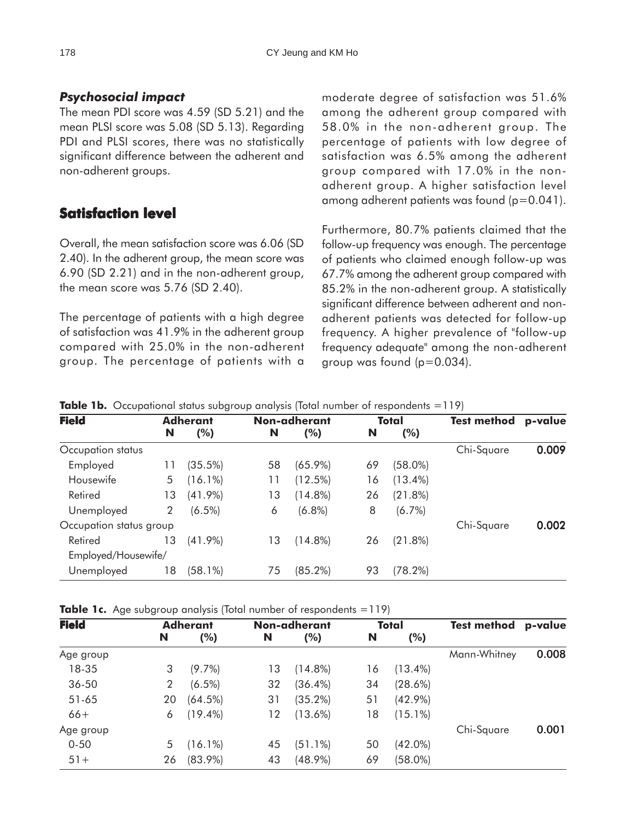# *Psychosocial impact*

The mean PDI score was 4.59 (SD 5.21) and the mean PLSI score was 5.08 (SD 5.13). Regarding PDI and PLSI scores, there was no statistically significant difference between the adherent and non-adherent groups.

# **Satisfaction level level**

Overall, the mean satisfaction score was 6.06 (SD 2.40). In the adherent group, the mean score was 6.90 (SD 2.21) and in the non-adherent group, the mean score was 5.76 (SD 2.40).

The percentage of patients with a high degree of satisfaction was 41.9% in the adherent group compared with 25.0% in the non-adherent group. The percentage of patients with a

moderate degree of satisfaction was 51.6% among the adherent group compared with 58.0% in the non-adherent group. The percentage of patients with low degree of satisfaction was 6.5% among the adherent group compared with 17.0% in the nonadherent group. A higher satisfaction level among adherent patients was found (p=0.041).

Furthermore, 80.7% patients claimed that the follow-up frequency was enough. The percentage of patients who claimed enough follow-up was 67.7% among the adherent group compared with 85.2% in the non-adherent group. A statistically significant difference between adherent and nonadherent patients was detected for follow-up frequency. A higher prevalence of "follow-up frequency adequate" among the non-adherent group was found (p=0.034).

| <b>Field</b>            | <b>Adherant</b> |            |    | Non-adherant |    | Total      | <b>Test method</b> | p-value |
|-------------------------|-----------------|------------|----|--------------|----|------------|--------------------|---------|
|                         | N               | (%)        | N  | $(\%)$       | N  | (%)        |                    |         |
| Occupation status       |                 |            |    |              |    |            | Chi-Square         | 0.009   |
| Employed                | 11              | (35.5%)    | 58 | $(65.9\%)$   | 69 | $(58.0\%)$ |                    |         |
| Housewife               | 5               | $(16.1\%)$ | 11 | (12.5%)      | 16 | $(13.4\%)$ |                    |         |
| Retired                 | 13              | $(41.9\%)$ | 13 | $(14.8\%)$   | 26 | $(21.8\%)$ |                    |         |
| Unemployed              | 2               | $(6.5\%)$  | 6  | $(6.8\%)$    | 8  | (6.7%)     |                    |         |
| Occupation status group |                 |            |    |              |    |            | Chi-Square         | 0.002   |
| Retired                 | 13              | $(41.9\%)$ | 13 | $(14.8\%)$   | 26 | (21.8%)    |                    |         |
| Employed/Housewife/     |                 |            |    |              |    |            |                    |         |
| Unemployed              | 18              | (58.1%)    | 75 | $(85.2\%)$   | 93 | $(78.2\%)$ |                    |         |

**Table 1b.** Occupational status subgroup analysis (Total number of respondents = 119)

**Table 1c.** Age subgroup analysis (Total number of respondents = 119)

| <b>Field</b> |    | <b>Adherant</b> |    | Non-adherant | Total |            | <b>Test method</b> | p-value |
|--------------|----|-----------------|----|--------------|-------|------------|--------------------|---------|
|              | N  | (%)             | N  | (%)          | N     | (%)        |                    |         |
| Age group    |    |                 |    |              |       |            | Mann-Whitney       | 0.008   |
| 18-35        | 3  | $(9.7\%)$       | 13 | $(14.8\%)$   | 16    | $(13.4\%)$ |                    |         |
| $36 - 50$    | 2  | $(6.5\%)$       | 32 | $(36.4\%)$   | 34    | $(28.6\%)$ |                    |         |
| $51 - 65$    | 20 | $(64.5\%)$      | 31 | $(35.2\%)$   | 51    | $(42.9\%)$ |                    |         |
| $66+$        | 6  | $(19.4\%)$      | 12 | $(13.6\%)$   | 18    | $(15.1\%)$ |                    |         |
| Age group    |    |                 |    |              |       |            | Chi-Square         | 0.001   |
| $0 - 50$     | 5  | $(16.1\%)$      | 45 | $(51.1\%)$   | 50    | $(42.0\%)$ |                    |         |
| $51+$        | 26 | $(83.9\%)$      | 43 | $(48.9\%)$   | 69    | $(58.0\%)$ |                    |         |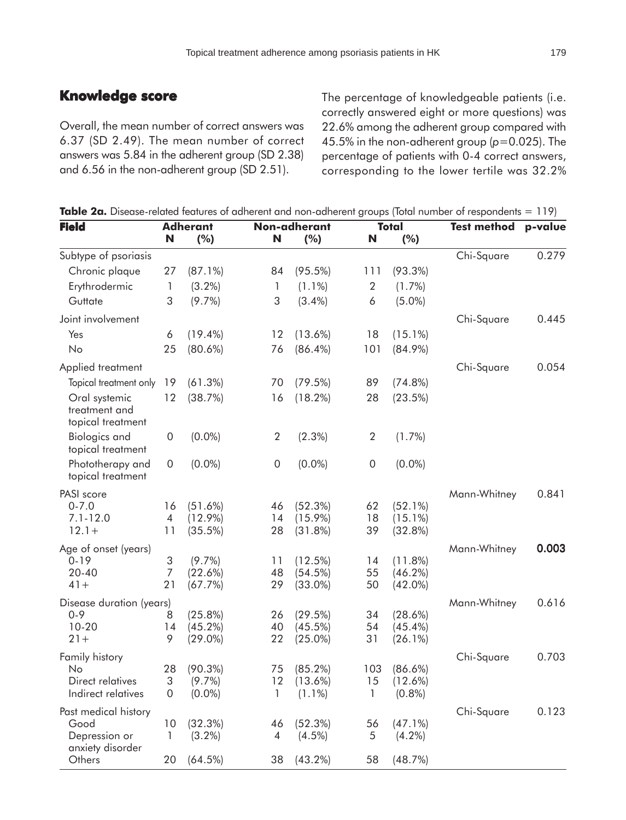# **Knowledge score**

Overall, the mean number of correct answers was 6.37 (SD 2.49). The mean number of correct answers was 5.84 in the adherent group (SD 2.38) and 6.56 in the non-adherent group (SD 2.51).

The percentage of knowledgeable patients (i.e. correctly answered eight or more questions) was 22.6% among the adherent group compared with 45.5% in the non-adherent group (*p*=0.025). The percentage of patients with 0-4 correct answers, corresponding to the lower tertile was 32.2%

| <b>Field</b>                                        | <b>Adherant</b>          |                       | Non-adherant     |                          | <b>Total</b>     |                       | <b>Test method</b> | p-value |
|-----------------------------------------------------|--------------------------|-----------------------|------------------|--------------------------|------------------|-----------------------|--------------------|---------|
|                                                     | N                        | (%)                   | N                | (%)                      | N                | (%)                   |                    |         |
| Subtype of psoriasis                                |                          |                       |                  |                          |                  |                       | Chi-Square         | 0.279   |
| Chronic plaque                                      | 27                       | $(87.1\%)$            | 84               | $(95.5\%)$               | 111              | $(93.3\%)$            |                    |         |
| Erythrodermic                                       | 1                        | $(3.2\%)$             | 1                | $(1.1\%)$                | $\boldsymbol{2}$ | $(1.7\%)$             |                    |         |
| Guttate                                             | 3                        | $(9.7\%)$             | 3                | $(3.4\%)$                | 6                | $(5.0\%)$             |                    |         |
| Joint involvement                                   |                          |                       |                  |                          |                  |                       | Chi-Square         | 0.445   |
| Yes                                                 | 6                        | $(19.4\%)$            | 12               | $(13.6\%)$               | 18               | $(15.1\%)$            |                    |         |
| No                                                  | 25                       | $(80.6\%)$            | 76               | $(86.4\%)$               | 101              | $(84.9\%)$            |                    |         |
| Applied treatment                                   |                          |                       |                  |                          |                  |                       | Chi-Square         | 0.054   |
| Topical treatment only                              | 19                       | (61.3%)               | 70               | (79.5%)                  | 89               | (74.8%)               |                    |         |
| Oral systemic<br>treatment and<br>topical treatment | 12                       | (38.7%)               | 16               | $(18.2\%)$               | 28               | (23.5%)               |                    |         |
| <b>Biologics and</b><br>topical treatment           | $\boldsymbol{0}$         | $(0.0\%)$             | $\overline{2}$   | $(2.3\%)$                | $\overline{2}$   | $(1.7\%)$             |                    |         |
| Phototherapy and<br>topical treatment               | $\boldsymbol{0}$         | $(0.0\%)$             | $\boldsymbol{0}$ | $(0.0\%)$                | $\boldsymbol{0}$ | $(0.0\%)$             |                    |         |
| PASI score                                          |                          |                       |                  |                          |                  |                       | Mann-Whitney       | 0.841   |
| $0 - 7.0$                                           | 16                       | $(51.6\%)$            | 46               | (52.3%)                  | 62               | $(52.1\%)$            |                    |         |
| $7.1 - 12.0$                                        | $\overline{\mathcal{A}}$ | $(12.9\%)$            | 14               | $(15.9\%)$               | 18               | $(15.1\%)$            |                    |         |
| $12.1 +$                                            | 11                       | (35.5%)               | 28               | (31.8%)                  | 39               | (32.8%)               |                    |         |
| Age of onset (years)                                |                          |                       |                  |                          |                  |                       | Mann-Whitney       | 0.003   |
| $0 - 19$                                            | 3                        | $(9.7\%)$             | 11               | $(12.5\%)$               | 14               | (11.8%)               |                    |         |
| 20-40<br>$41 +$                                     | $\overline{7}$<br>21     | $(22.6\%)$<br>(67.7%) | 48<br>29         | $(54.5\%)$<br>$(33.0\%)$ | 55<br>50         | (46.2%)<br>$(42.0\%)$ |                    |         |
|                                                     |                          |                       |                  |                          |                  |                       |                    |         |
| Disease duration (years)<br>$0 - 9$                 | 8                        | (25.8%)               | 26               | (29.5%)                  | 34               | (28.6%)               | Mann-Whitney       | 0.616   |
| $10 - 20$                                           | 14                       | $(45.2\%)$            | 40               | (45.5%)                  | 54               | $(45.4\%)$            |                    |         |
| $21 +$                                              | 9                        | $(29.0\%)$            | 22               | $(25.0\%)$               | 31               | (26.1%)               |                    |         |
| Family history                                      |                          |                       |                  |                          |                  |                       | Chi-Square         | 0.703   |
| No                                                  | 28                       | $(90.3\%)$            | 75               | $(85.2\%)$               | 103              | $(86.6\%)$            |                    |         |
| Direct relatives                                    | 3                        | $(9.7\%)$             | 12               | $(13.6\%)$               | 15               | (12.6%)               |                    |         |
| Indirect relatives                                  | $\boldsymbol{0}$         | $(0.0\%)$             |                  | $(1.1\%)$                |                  | $(0.8\%)$             |                    |         |
| Past medical history                                |                          |                       |                  |                          |                  |                       | Chi-Square         | 0.123   |
| Good                                                | 10                       | (32.3%)               | 46               | (52.3%)                  | 56               | $(47.1\%)$            |                    |         |
| Depression or<br>anxiety disorder                   | 1                        | $(3.2\%)$             | 4                | (4.5%)                   | 5                | $(4.2\%)$             |                    |         |
| Others                                              | 20                       | (64.5%)               | 38               | $(43.2\%)$               | 58               | (48.7%)               |                    |         |

**Table 2a.** Disease-related features of adherent and non-adherent groups (Total number of respondents = 119)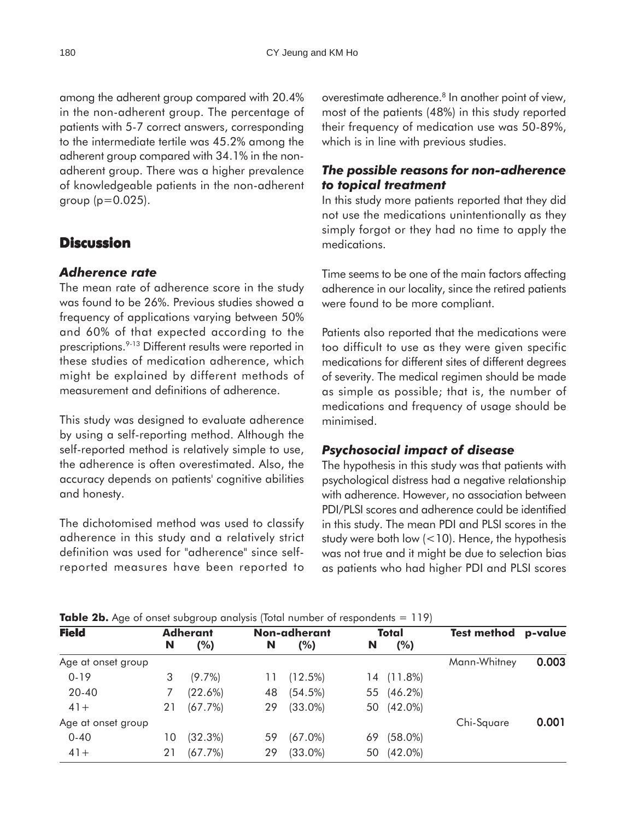among the adherent group compared with 20.4% in the non-adherent group. The percentage of patients with 5-7 correct answers, corresponding to the intermediate tertile was 45.2% among the adherent group compared with 34.1% in the nonadherent group. There was a higher prevalence of knowledgeable patients in the non-adherent group  $(p=0.025)$ .

# **Discussion**

## *Adherence rate*

The mean rate of adherence score in the study was found to be 26%. Previous studies showed a frequency of applications varying between 50% and 60% of that expected according to the prescriptions.<sup>9-13</sup> Different results were reported in these studies of medication adherence, which might be explained by different methods of measurement and definitions of adherence.

This study was designed to evaluate adherence by using a self-reporting method. Although the self-reported method is relatively simple to use, the adherence is often overestimated. Also, the accuracy depends on patients' cognitive abilities and honesty.

The dichotomised method was used to classify adherence in this study and a relatively strict definition was used for "adherence" since selfreported measures have been reported to overestimate adherence.<sup>8</sup> In another point of view, most of the patients (48%) in this study reported their frequency of medication use was 50-89%, which is in line with previous studies.

## *The possible reasons for non-adherence to topical treatment*

In this study more patients reported that they did not use the medications unintentionally as they simply forgot or they had no time to apply the medications.

Time seems to be one of the main factors affecting adherence in our locality, since the retired patients were found to be more compliant.

Patients also reported that the medications were too difficult to use as they were given specific medications for different sites of different degrees of severity. The medical regimen should be made as simple as possible; that is, the number of medications and frequency of usage should be minimised.

# *Psychosocial impact of disease*

The hypothesis in this study was that patients with psychological distress had a negative relationship with adherence. However, no association between PDI/PLSI scores and adherence could be identified in this study. The mean PDI and PLSI scores in the study were both low  $(<10)$ . Hence, the hypothesis was not true and it might be due to selection bias as patients who had higher PDI and PLSI scores

| <b>Table 2b.</b> Age of onset subgroup analysis (Total number of respondents = 119) |  |
|-------------------------------------------------------------------------------------|--|
|-------------------------------------------------------------------------------------|--|

| <b>Field</b>       | <b>Adherant</b> |           | Non-adherant |            | Total |            | <b>Test method</b> | p-value |
|--------------------|-----------------|-----------|--------------|------------|-------|------------|--------------------|---------|
|                    | N               | (%)       | N            | (%)        | N     | (%)        |                    |         |
| Age at onset group |                 |           |              |            |       |            | Mann-Whitney       | 0.003   |
| $0 - 19$           | 3               | $(9.7\%)$ | 11           | (12.5%)    | 14    | (11.8%)    |                    |         |
| $20 - 40$          |                 | (22.6%)   | 48           | $(54.5\%)$ | 55    | $(46.2\%)$ |                    |         |
| $41 +$             | 21              | (67.7%)   | 29           | $(33.0\%)$ |       | 50 (42.0%) |                    |         |
| Age at onset group |                 |           |              |            |       |            | Chi-Square         | 0.001   |
| $0 - 40$           | 10              | (32.3%)   | 59           | $(67.0\%)$ | 69    | $(58.0\%)$ |                    |         |
| $41 +$             | 21              | (67.7%)   | 29           | $(33.0\%)$ | 50    | $(42.0\%)$ |                    |         |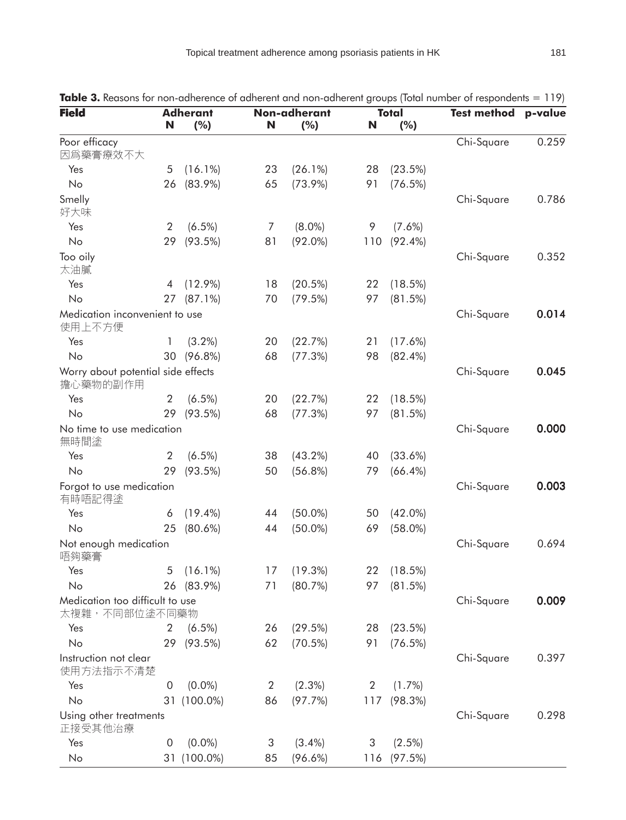| <b>Field</b>                                     | N              | <b>Adherant</b><br>(%) | N  | Non-adherant<br>(%) | N   | <b>Total</b><br>(%) | <b>Test method</b> | p-value |
|--------------------------------------------------|----------------|------------------------|----|---------------------|-----|---------------------|--------------------|---------|
| Poor efficacy<br>因爲藥膏療效不大                        |                |                        |    |                     |     |                     | Chi-Square         | 0.259   |
| Yes                                              | 5              | $(16.1\%)$             | 23 | $(26.1\%)$          | 28  | (23.5%)             |                    |         |
| No                                               | 26             | $(83.9\%)$             | 65 | $(73.9\%)$          | 91  | (76.5%)             |                    |         |
| Smelly<br>好大味                                    |                |                        |    |                     |     |                     | Chi-Square         | 0.786   |
| Yes                                              | $\overline{2}$ | $(6.5\%)$              | 7  | $(8.0\%)$           | 9   | $(7.6\%)$           |                    |         |
| No                                               | 29             | $(93.5\%)$             | 81 | $(92.0\%)$          | 110 | $(92.4\%)$          |                    |         |
| Too oily<br>太油膩                                  |                |                        |    |                     |     |                     | Chi-Square         | 0.352   |
| Yes                                              | 4              | $(12.9\%)$             | 18 | $(20.5\%)$          | 22  | (18.5%)             |                    |         |
| No                                               | 27             | $(87.1\%)$             | 70 | (79.5%)             | 97  | (81.5%)             |                    |         |
| Medication inconvenient to use<br>使用上不方便         |                |                        |    |                     |     |                     | Chi-Square         | 0.014   |
| Yes                                              | 1              | $(3.2\%)$              | 20 | (22.7%)             | 21  | $(17.6\%)$          |                    |         |
| No                                               | 30             | $(96.8\%)$             | 68 | (77.3%)             | 98  | $(82.4\%)$          |                    |         |
| Worry about potential side effects<br>擔心藥物的副作用   |                |                        |    |                     |     |                     | Chi-Square         | 0.045   |
| Yes                                              | 2              | $(6.5\%)$              | 20 | (22.7%)             | 22  | $(18.5\%)$          |                    |         |
| No                                               | 29             | $(93.5\%)$             | 68 | (77.3%)             | 97  | (81.5%)             |                    |         |
| No time to use medication<br>無時間塗                |                |                        |    |                     |     |                     | Chi-Square         | 0.000   |
| Yes                                              | $\overline{2}$ | $(6.5\%)$              | 38 | $(43.2\%)$          | 40  | $(33.6\%)$          |                    |         |
| No                                               | 29             | (93.5%)                | 50 | $(56.8\%)$          | 79  | $(66.4\%)$          |                    |         |
| Forgot to use medication<br>有時唔記得塗               |                |                        |    |                     |     |                     | Chi-Square         | 0.003   |
| Yes                                              | 6              | $(19.4\%)$             | 44 | $(50.0\%)$          | 50  | $(42.0\%)$          |                    |         |
| No                                               | 25             | $(80.6\%)$             | 44 | $(50.0\%)$          | 69  | $(58.0\%)$          |                    |         |
| Not enough medication<br>唔夠藥膏                    |                |                        |    |                     |     |                     | Chi-Square         | 0.694   |
| Yes                                              |                | $5(16.1\%)$            |    | 17 (19.3%)          |     | 22 (18.5%)          |                    |         |
| No                                               |                | 26 (83.9%)             | 71 | (80.7%)             |     | 97 (81.5%)          |                    |         |
| Medication too difficult to use<br>太複雜,不同部位塗不同藥物 |                |                        |    |                     |     |                     | Chi-Square         | 0.009   |
| Yes                                              | 2              | $(6.5\%)$              | 26 | (29.5%)             | 28  | (23.5%)             |                    |         |
| No                                               | 29             | $(93.5\%)$             | 62 | $(70.5\%)$          | 91  | (76.5%)             |                    |         |
| Instruction not clear<br>使用方法指示不清楚               |                |                        |    |                     |     |                     | Chi-Square         | 0.397   |
| Yes                                              | 0              | $(0.0\%)$              | 2  | $(2.3\%)$           | 2   | $(1.7\%)$           |                    |         |
| No                                               |                | 31 (100.0%)            | 86 | (97.7%)             |     | 117 (98.3%)         |                    |         |
| Using other treatments<br>正接受其他治療                |                |                        |    |                     |     |                     | Chi-Square         | 0.298   |
| Yes                                              | 0              | $(0.0\%)$              | 3  | $(3.4\%)$           | 3   | $(2.5\%)$           |                    |         |
| No                                               |                | 31 (100.0%)            | 85 | $(96.6\%)$          | 116 | (97.5%)             |                    |         |

**Table 3.** Reasons for non-adherence of adherent and non-adherent groups (Total number of respondents = 119)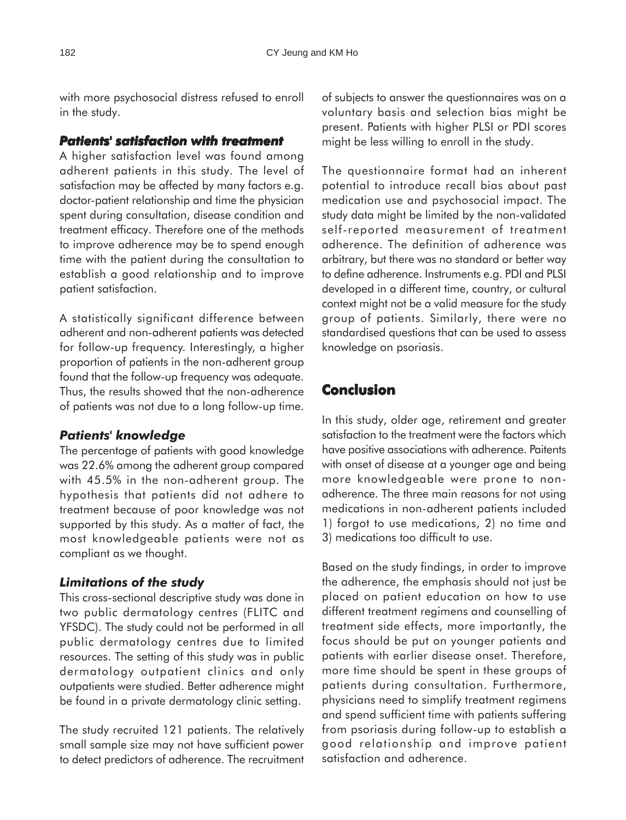with more psychosocial distress refused to enroll in the study.

## *Patients' satisfaction with treatment atients' treatment*

A higher satisfaction level was found among adherent patients in this study. The level of satisfaction may be affected by many factors e.g. doctor-patient relationship and time the physician spent during consultation, disease condition and treatment efficacy. Therefore one of the methods to improve adherence may be to spend enough time with the patient during the consultation to establish a good relationship and to improve patient satisfaction.

A statistically significant difference between adherent and non-adherent patients was detected for follow-up frequency. Interestingly, a higher proportion of patients in the non-adherent group found that the follow-up frequency was adequate. Thus, the results showed that the non-adherence of patients was not due to a long follow-up time.

# *Patients' knowledge*

The percentage of patients with good knowledge was 22.6% among the adherent group compared with 45.5% in the non-adherent group. The hypothesis that patients did not adhere to treatment because of poor knowledge was not supported by this study. As a matter of fact, the most knowledgeable patients were not as compliant as we thought.

# *Limitations of the study*

This cross-sectional descriptive study was done in two public dermatology centres (FLITC and YFSDC). The study could not be performed in all public dermatology centres due to limited resources. The setting of this study was in public dermatology outpatient clinics and only outpatients were studied. Better adherence might be found in a private dermatology clinic setting.

The study recruited 121 patients. The relatively small sample size may not have sufficient power to detect predictors of adherence. The recruitment of subjects to answer the questionnaires was on a voluntary basis and selection bias might be present. Patients with higher PLSI or PDI scores might be less willing to enroll in the study.

The questionnaire format had an inherent potential to introduce recall bias about past medication use and psychosocial impact. The study data might be limited by the non-validated self-reported measurement of treatment adherence. The definition of adherence was arbitrary, but there was no standard or better way to define adherence. Instruments e.g. PDI and PLSI developed in a different time, country, or cultural context might not be a valid measure for the study group of patients. Similarly, there were no standardised questions that can be used to assess knowledge on psoriasis.

# **Conclusion**

In this study, older age, retirement and greater satisfaction to the treatment were the factors which have positive associations with adherence. Paitents with onset of disease at a younger age and being more knowledgeable were prone to nonadherence. The three main reasons for not using medications in non-adherent patients included 1) forgot to use medications, 2) no time and 3) medications too difficult to use.

Based on the study findings, in order to improve the adherence, the emphasis should not just be placed on patient education on how to use different treatment regimens and counselling of treatment side effects, more importantly, the focus should be put on younger patients and patients with earlier disease onset. Therefore, more time should be spent in these groups of patients during consultation. Furthermore, physicians need to simplify treatment regimens and spend sufficient time with patients suffering from psoriasis during follow-up to establish a good relationship and improve patient satisfaction and adherence.